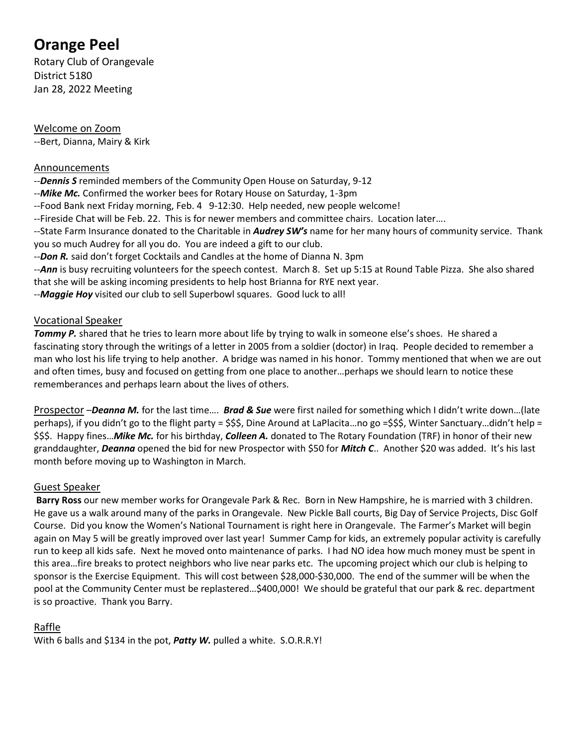# **Orange Peel**

Rotary Club of Orangevale District 5180 Jan 28, 2022 Meeting

Welcome on Zoom --Bert, Dianna, Mairy & Kirk

#### Announcements

--*Dennis S* reminded members of the Community Open House on Saturday, 9-12

- --*Mike Mc.* Confirmed the worker bees for Rotary House on Saturday, 1-3pm
- --Food Bank next Friday morning, Feb. 4 9-12:30. Help needed, new people welcome!

--Fireside Chat will be Feb. 22. This is for newer members and committee chairs. Location later….

--State Farm Insurance donated to the Charitable in *Audrey SW's* name for her many hours of community service. Thank you so much Audrey for all you do. You are indeed a gift to our club.

--*Don R.* said don't forget Cocktails and Candles at the home of Dianna N. 3pm

--*Ann* is busy recruiting volunteers for the speech contest. March 8. Set up 5:15 at Round Table Pizza. She also shared that she will be asking incoming presidents to help host Brianna for RYE next year.

--*Maggie Hoy* visited our club to sell Superbowl squares. Good luck to all!

### Vocational Speaker

**Tommy P.** shared that he tries to learn more about life by trying to walk in someone else's shoes. He shared a fascinating story through the writings of a letter in 2005 from a soldier (doctor) in Iraq. People decided to remember a man who lost his life trying to help another. A bridge was named in his honor. Tommy mentioned that when we are out and often times, busy and focused on getting from one place to another…perhaps we should learn to notice these rememberances and perhaps learn about the lives of others.

Prospector –*Deanna M.* for the last time…. *Brad & Sue* were first nailed for something which I didn't write down…(late perhaps), if you didn't go to the flight party = \$\$\$, Dine Around at LaPlacita...no go =\$\$\$, Winter Sanctuary...didn't help = \$\$\$. Happy fines…*Mike Mc.* for his birthday, *Colleen A.* donated to The Rotary Foundation (TRF) in honor of their new granddaughter, *Deanna* opened the bid for new Prospector with \$50 for *Mitch C*.. Another \$20 was added. It's his last month before moving up to Washington in March.

#### Guest Speaker

**Barry Ross** our new member works for Orangevale Park & Rec. Born in New Hampshire, he is married with 3 children. He gave us a walk around many of the parks in Orangevale. New Pickle Ball courts, Big Day of Service Projects, Disc Golf Course. Did you know the Women's National Tournament is right here in Orangevale. The Farmer's Market will begin again on May 5 will be greatly improved over last year! Summer Camp for kids, an extremely popular activity is carefully run to keep all kids safe. Next he moved onto maintenance of parks. I had NO idea how much money must be spent in this area…fire breaks to protect neighbors who live near parks etc. The upcoming project which our club is helping to sponsor is the Exercise Equipment. This will cost between \$28,000-\$30,000. The end of the summer will be when the pool at the Community Center must be replastered…\$400,000! We should be grateful that our park & rec. department is so proactive. Thank you Barry.

## Raffle

With 6 balls and \$134 in the pot, *Patty W.* pulled a white. S.O.R.R.Y!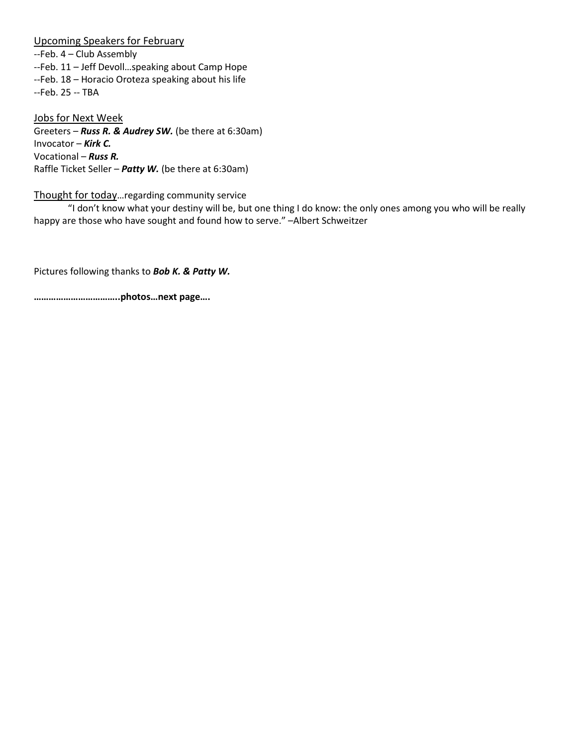#### Upcoming Speakers for February

--Feb. 4 – Club Assembly --Feb. 11 – Jeff Devoll…speaking about Camp Hope --Feb. 18 – Horacio Oroteza speaking about his life --Feb. 25 -- TBA

Jobs for Next Week Greeters – *Russ R. & Audrey SW.* (be there at 6:30am) Invocator – *Kirk C.* Vocational – *Russ R.* Raffle Ticket Seller – *Patty W.* (be there at 6:30am)

#### Thought for today…regarding community service

"I don't know what your destiny will be, but one thing I do know: the only ones among you who will be really happy are those who have sought and found how to serve." - Albert Schweitzer

Pictures following thanks to *Bob K. & Patty W.*

**……………………………..photos…next page….**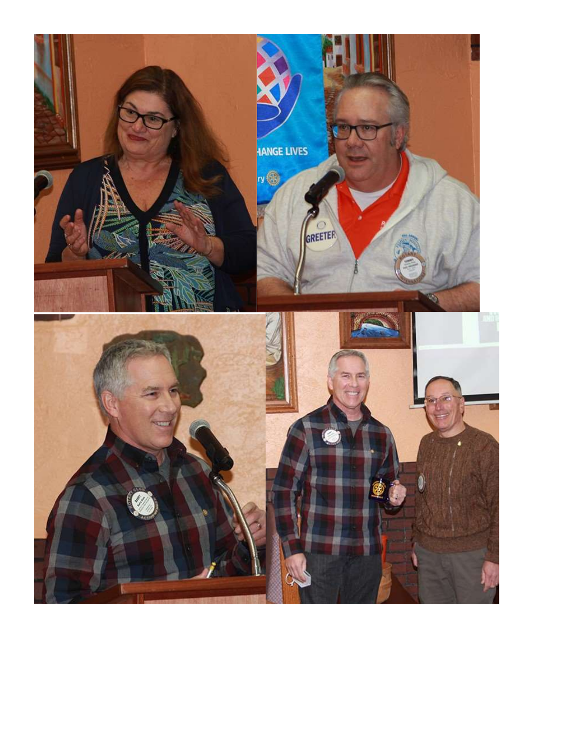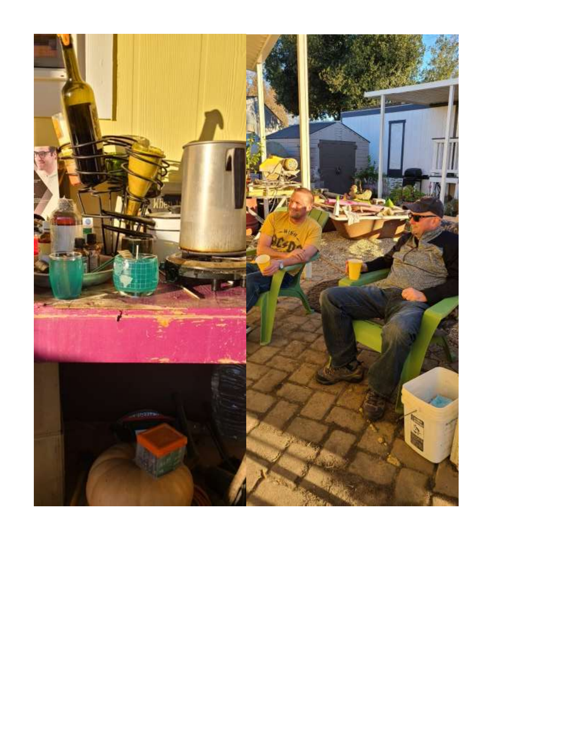